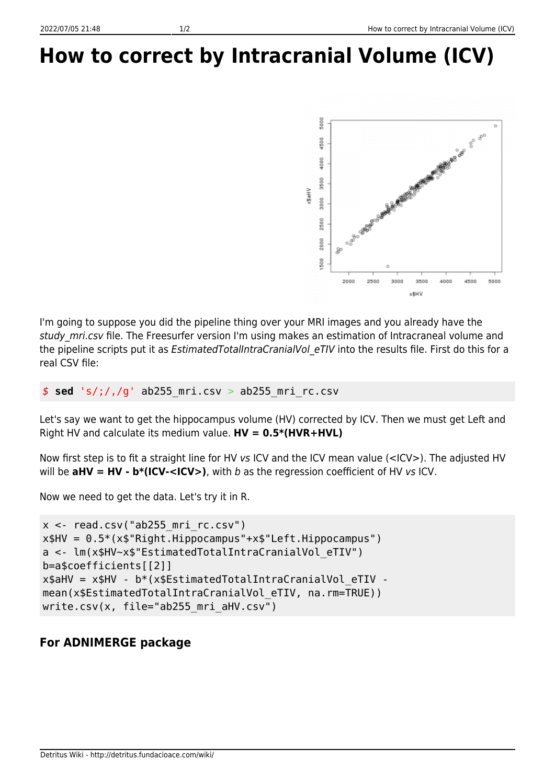## **How to correct by Intracranial Volume (ICV)**



I'm going to suppose you did the pipeline thing over your MRI images and you already have the study mri.csv file. The Freesurfer version I'm using makes an estimation of Intracraneal volume and the pipeline scripts put it as *EstimatedTotalIntraCranialVol eTIV* into the results file. First do this for a real CSV file:

*\$* **sed** 's/;/,/g' ab255\_mri.csv > ab255\_mri\_rc.csv

Let's say we want to get the hippocampus volume (HV) corrected by ICV. Then we must get Left and Right HV and calculate its medium value. **HV = 0.5\*(HVR+HVL)**

Now first step is to fit a straight line for HV vs ICV and the ICV mean value (<ICV>). The adjusted HV will be  $a$ HV = HV -  $b^*(ICV - , with b as the regression coefficient of HV vs ICV.$ 

Now we need to get the data. Let's try it in R.

```
x < - read.csv("ab255 mri rc.csv")
x$HV = 0.5*(x$"Right.Hippocampus"+x$"Left.Hippocampus")a <- lm(x$HV~x$"EstimatedTotalIntraCranialVol_eTIV")
b=a$coefficients[[2]]
x$aHV = x$HV - b^*(x)$EstimatedTotalIntraCranialVol eTIV -
mean(x$EstimatedTotalIntraCranialVol eTIV, na.rm=TRUE))
write.csv(x, file="ab255 mri aHV.csv")
```
## **For ADNIMERGE package**